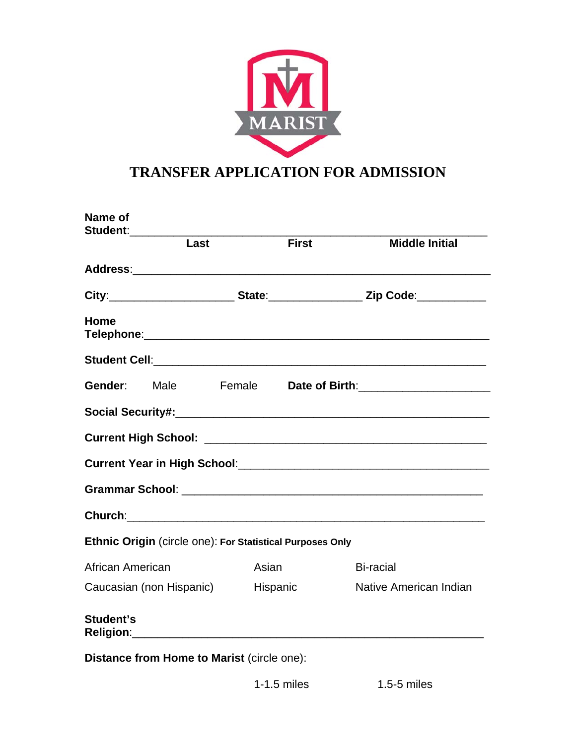

# **TRANSFER APPLICATION FOR ADMISSION**

| Name of<br>Student:                                       |      |          |              |                                                                                                                 |
|-----------------------------------------------------------|------|----------|--------------|-----------------------------------------------------------------------------------------------------------------|
|                                                           | Last |          | <b>First</b> | <b>Middle Initial</b>                                                                                           |
|                                                           |      |          |              |                                                                                                                 |
|                                                           |      |          |              | City:______________________________State:________________________Zip Code:__________________________            |
| Home                                                      |      |          |              |                                                                                                                 |
|                                                           |      |          |              |                                                                                                                 |
| Gender:                                                   | Male |          |              | Female <b>Date of Birth</b> : 2008 2014 2022 2023                                                               |
|                                                           |      |          |              |                                                                                                                 |
|                                                           |      |          |              |                                                                                                                 |
|                                                           |      |          |              | Current Year in High School: 2008 2009 2010 2020 2021 2022 2023 2024 2024 2022 2023 2024 2022 2023 2024 2022 20 |
|                                                           |      |          |              |                                                                                                                 |
|                                                           |      |          |              |                                                                                                                 |
| Ethnic Origin (circle one): For Statistical Purposes Only |      |          |              |                                                                                                                 |
| African American                                          |      | Asian    |              | <b>Bi-racial</b>                                                                                                |
| Caucasian (non Hispanic)                                  |      | Hispanic |              | Native American Indian                                                                                          |
| Student's                                                 |      |          |              |                                                                                                                 |
| Distance from Home to Marist (circle one):                |      |          |              |                                                                                                                 |

1-1.5 miles 1.5-5 miles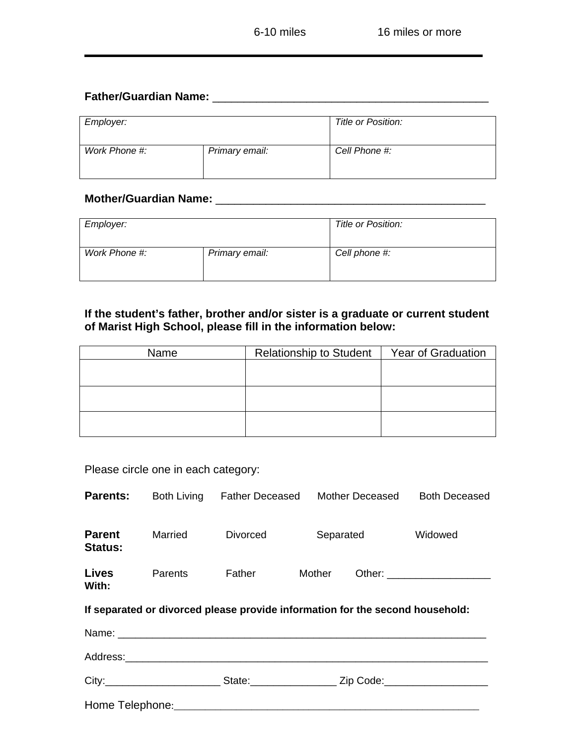### **Father/Guardian Name:** \_\_\_\_\_\_\_\_\_\_\_\_\_\_\_\_\_\_\_\_\_\_\_\_\_\_\_\_\_\_\_\_\_\_\_\_\_\_\_\_\_\_\_\_

| Employer:     |                | Title or Position: |
|---------------|----------------|--------------------|
| Work Phone #: | Primary email: | Cell Phone #:      |

## **Mother/Guardian Name:** \_\_\_\_\_\_\_\_\_\_\_\_\_\_\_\_\_\_\_\_\_\_\_\_\_\_\_\_\_\_\_\_\_\_\_\_\_\_\_\_\_\_\_

| Employer:     |                | Title or Position: |  |
|---------------|----------------|--------------------|--|
| Work Phone #: | Primary email: | Cell phone #:      |  |

#### **If the student's father, brother and/or sister is a graduate or current student of Marist High School, please fill in the information below:**

| Name | <b>Relationship to Student</b> | <b>Year of Graduation</b> |
|------|--------------------------------|---------------------------|
|      |                                |                           |
|      |                                |                           |
|      |                                |                           |
|      |                                |                           |
|      |                                |                           |
|      |                                |                           |

|  |  | Please circle one in each category: |
|--|--|-------------------------------------|
|  |  |                                     |

| <b>Parents:</b>                                                               |         | Both Living Father Deceased Mother Deceased                                                         |        |           | <b>Both Deceased</b>            |  |
|-------------------------------------------------------------------------------|---------|-----------------------------------------------------------------------------------------------------|--------|-----------|---------------------------------|--|
| <b>Parent</b><br><b>Status:</b>                                               | Married | <b>Divorced</b>                                                                                     |        | Separated | Widowed                         |  |
| <b>Lives</b><br>With:                                                         | Parents | Father                                                                                              | Mother |           | Other: ________________________ |  |
| If separated or divorced please provide information for the second household: |         |                                                                                                     |        |           |                                 |  |
|                                                                               |         |                                                                                                     |        |           |                                 |  |
|                                                                               |         |                                                                                                     |        |           |                                 |  |
|                                                                               |         | City:____________________________State:______________________Zip Code:_____________________________ |        |           |                                 |  |
|                                                                               |         |                                                                                                     |        |           |                                 |  |